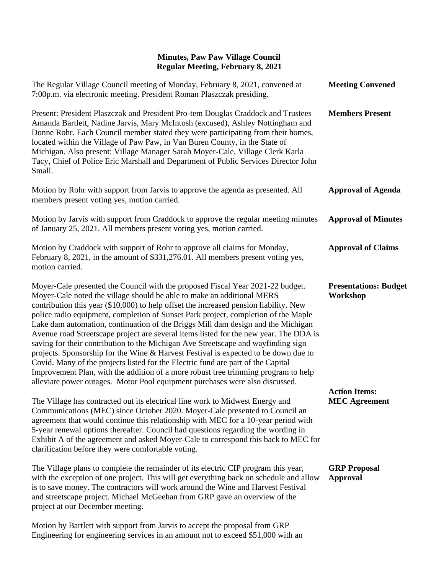| The Regular Village Council meeting of Monday, February 8, 2021, convened at<br>7:00p.m. via electronic meeting. President Roman Plaszczak presiding.                                                                                                                                                                                                                                                                                                                                                                                                                                                                                                                                                                                                                                                                                                                                                                                                      | <b>Meeting Convened</b>                      |
|------------------------------------------------------------------------------------------------------------------------------------------------------------------------------------------------------------------------------------------------------------------------------------------------------------------------------------------------------------------------------------------------------------------------------------------------------------------------------------------------------------------------------------------------------------------------------------------------------------------------------------------------------------------------------------------------------------------------------------------------------------------------------------------------------------------------------------------------------------------------------------------------------------------------------------------------------------|----------------------------------------------|
| Present: President Plaszczak and President Pro-tem Douglas Craddock and Trustees<br>Amanda Bartlett, Nadine Jarvis, Mary McIntosh (excused), Ashley Nottingham and<br>Donne Rohr. Each Council member stated they were participating from their homes,<br>located within the Village of Paw Paw, in Van Buren County, in the State of<br>Michigan. Also present: Village Manager Sarah Moyer-Cale, Village Clerk Karla<br>Tacy, Chief of Police Eric Marshall and Department of Public Services Director John<br>Small.                                                                                                                                                                                                                                                                                                                                                                                                                                    | <b>Members Present</b>                       |
| Motion by Rohr with support from Jarvis to approve the agenda as presented. All<br>members present voting yes, motion carried.                                                                                                                                                                                                                                                                                                                                                                                                                                                                                                                                                                                                                                                                                                                                                                                                                             | <b>Approval of Agenda</b>                    |
| Motion by Jarvis with support from Craddock to approve the regular meeting minutes<br>of January 25, 2021. All members present voting yes, motion carried.                                                                                                                                                                                                                                                                                                                                                                                                                                                                                                                                                                                                                                                                                                                                                                                                 | <b>Approval of Minutes</b>                   |
| Motion by Craddock with support of Rohr to approve all claims for Monday,<br>February 8, 2021, in the amount of \$331,276.01. All members present voting yes,<br>motion carried.                                                                                                                                                                                                                                                                                                                                                                                                                                                                                                                                                                                                                                                                                                                                                                           | <b>Approval of Claims</b>                    |
| Moyer-Cale presented the Council with the proposed Fiscal Year 2021-22 budget.<br>Moyer-Cale noted the village should be able to make an additional MERS<br>contribution this year (\$10,000) to help offset the increased pension liability. New<br>police radio equipment, completion of Sunset Park project, completion of the Maple<br>Lake dam automation, continuation of the Briggs Mill dam design and the Michigan<br>Avenue road Streetscape project are several items listed for the new year. The DDA is<br>saving for their contribution to the Michigan Ave Streetscape and wayfinding sign<br>projects. Sponsorship for the Wine & Harvest Festival is expected to be down due to<br>Covid. Many of the projects listed for the Electric fund are part of the Capital<br>Improvement Plan, with the addition of a more robust tree trimming program to help<br>alleviate power outages. Motor Pool equipment purchases were also discussed. | <b>Presentations: Budget</b><br>Workshop     |
| The Village has contracted out its electrical line work to Midwest Energy and<br>Communications (MEC) since October 2020. Moyer-Cale presented to Council an<br>agreement that would continue this relationship with MEC for a 10-year period with<br>5-year renewal options thereafter. Council had questions regarding the wording in<br>Exhibit A of the agreement and asked Moyer-Cale to correspond this back to MEC for<br>clarification before they were comfortable voting.                                                                                                                                                                                                                                                                                                                                                                                                                                                                        | <b>Action Items:</b><br><b>MEC Agreement</b> |
| The Village plans to complete the remainder of its electric CIP program this year,<br>with the exception of one project. This will get everything back on schedule and allow<br>is to save money. The contractors will work around the Wine and Harvest Festival<br>and streetscape project. Michael McGeehan from GRP gave an overview of the<br>project at our December meeting.                                                                                                                                                                                                                                                                                                                                                                                                                                                                                                                                                                         | <b>GRP</b> Proposal<br><b>Approval</b>       |

Motion by Bartlett with support from Jarvis to accept the proposal from GRP Engineering for engineering services in an amount not to exceed \$51,000 with an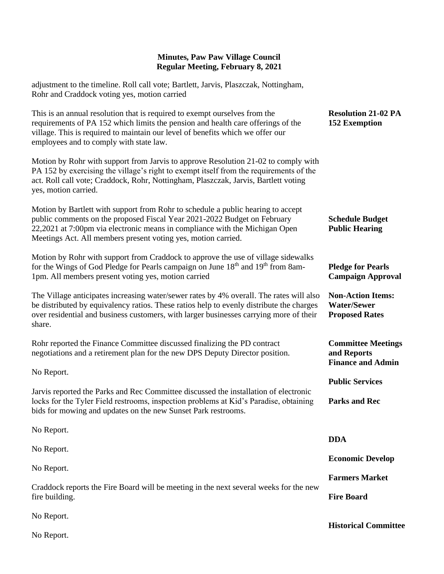adjustment to the timeline. Roll call vote; Bartlett, Jarvis, Plaszczak, Nottingham, Rohr and Craddock voting yes, motion carried

| This is an annual resolution that is required to exempt ourselves from the<br>requirements of PA 152 which limits the pension and health care offerings of the<br>village. This is required to maintain our level of benefits which we offer our<br>employees and to comply with state law.                  | <b>Resolution 21-02 PA</b><br><b>152 Exemption</b>                      |
|--------------------------------------------------------------------------------------------------------------------------------------------------------------------------------------------------------------------------------------------------------------------------------------------------------------|-------------------------------------------------------------------------|
| Motion by Rohr with support from Jarvis to approve Resolution 21-02 to comply with<br>PA 152 by exercising the village's right to exempt itself from the requirements of the<br>act. Roll call vote; Craddock, Rohr, Nottingham, Plaszczak, Jarvis, Bartlett voting<br>yes, motion carried.                  |                                                                         |
| Motion by Bartlett with support from Rohr to schedule a public hearing to accept<br>public comments on the proposed Fiscal Year 2021-2022 Budget on February<br>22,2021 at 7:00pm via electronic means in compliance with the Michigan Open<br>Meetings Act. All members present voting yes, motion carried. | <b>Schedule Budget</b><br><b>Public Hearing</b>                         |
| Motion by Rohr with support from Craddock to approve the use of village sidewalks<br>for the Wings of God Pledge for Pearls campaign on June 18 <sup>th</sup> and 19 <sup>th</sup> from 8am-<br>1pm. All members present voting yes, motion carried                                                          | <b>Pledge for Pearls</b><br><b>Campaign Approval</b>                    |
| The Village anticipates increasing water/sewer rates by 4% overall. The rates will also<br>be distributed by equivalency ratios. These ratios help to evenly distribute the charges<br>over residential and business customers, with larger businesses carrying more of their<br>share.                      | <b>Non-Action Items:</b><br><b>Water/Sewer</b><br><b>Proposed Rates</b> |
| Rohr reported the Finance Committee discussed finalizing the PD contract<br>negotiations and a retirement plan for the new DPS Deputy Director position.                                                                                                                                                     | <b>Committee Meetings</b><br>and Reports<br><b>Finance and Admin</b>    |
| No Report.                                                                                                                                                                                                                                                                                                   | <b>Public Services</b>                                                  |
| Jarvis reported the Parks and Rec Committee discussed the installation of electronic<br>locks for the Tyler Field restrooms, inspection problems at Kid's Paradise, obtaining<br>bids for mowing and updates on the new Sunset Park restrooms.                                                               | <b>Parks and Rec</b>                                                    |
| No Report.                                                                                                                                                                                                                                                                                                   |                                                                         |
| No Report.                                                                                                                                                                                                                                                                                                   | <b>DDA</b>                                                              |
| No Report.                                                                                                                                                                                                                                                                                                   | <b>Economic Develop</b>                                                 |
| Craddock reports the Fire Board will be meeting in the next several weeks for the new<br>fire building.                                                                                                                                                                                                      | <b>Farmers Market</b>                                                   |
|                                                                                                                                                                                                                                                                                                              | <b>Fire Board</b>                                                       |
| No Report.                                                                                                                                                                                                                                                                                                   |                                                                         |
| No Report.                                                                                                                                                                                                                                                                                                   | <b>Historical Committee</b>                                             |